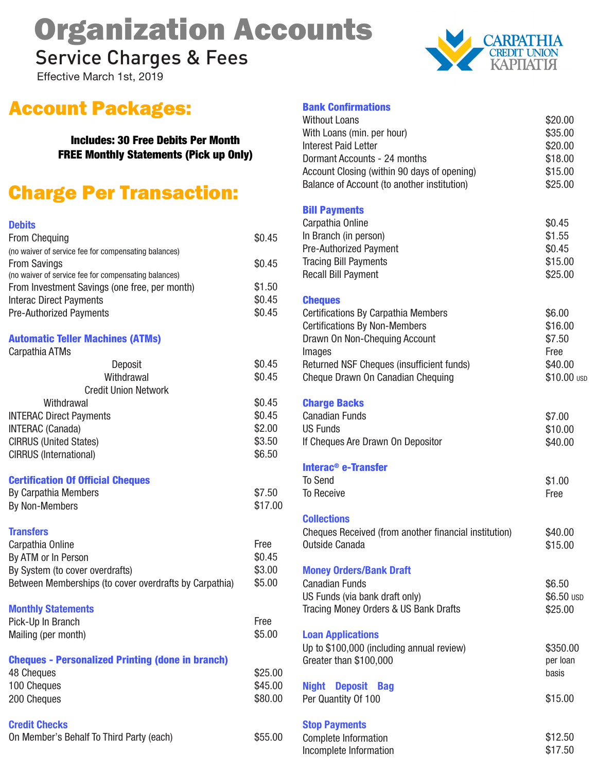# Organization Accounts

Service Charges & Fees

Effective March 1st, 2019



## Account Packages:

Includes: 30 Free Debits Per Month FREE Monthly Statements (Pick up Only)

## Charge Per Transaction:

| $\sim$ | $\sim$ $\sim$ |
|--------|---------------|

| <b>From Chequing</b>                                                        | \$0.45           |
|-----------------------------------------------------------------------------|------------------|
| (no waiver of service fee for compensating balances)                        | \$0.45           |
| <b>From Savings</b><br>(no waiver of service fee for compensating balances) |                  |
| From Investment Savings (one free, per month)                               | \$1.50           |
| <b>Interac Direct Payments</b>                                              | \$0.45           |
| <b>Pre-Authorized Payments</b>                                              | \$0.45           |
| <b>Automatic Teller Machines (ATMs)</b>                                     |                  |
| Carpathia ATMs                                                              |                  |
| Deposit                                                                     | \$0.45           |
| Withdrawal                                                                  | \$0.45           |
| <b>Credit Union Network</b>                                                 |                  |
| Withdrawal                                                                  | \$0.45           |
| <b>INTERAC Direct Payments</b>                                              | \$0.45<br>\$2.00 |
| <b>INTERAC</b> (Canada)<br><b>CIRRUS (United States)</b>                    | \$3.50           |
| CIRRUS (International)                                                      | \$6.50           |
|                                                                             |                  |
| <b>Certification Of Official Cheques</b>                                    |                  |
| <b>By Carpathia Members</b>                                                 | \$7.50           |
| By Non-Members                                                              | \$17.00          |
| <b>Transfers</b>                                                            |                  |
| Carpathia Online                                                            | Free             |
| By ATM or In Person                                                         | \$0.45           |
| By System (to cover overdrafts)                                             | \$3.00           |
| Between Memberships (to cover overdrafts by Carpathia)                      | \$5.00           |
| <b>Monthly Statements</b>                                                   |                  |
| Pick-Up In Branch                                                           | Free             |
| Mailing (per month)                                                         | \$5.00           |
|                                                                             |                  |
| <b>Cheques - Personalized Printing (done in branch)</b>                     |                  |
| 48 Cheques                                                                  | \$25.00          |
| 100 Cheques                                                                 | \$45.00          |
| 200 Cheques                                                                 | \$80.00          |
| <b>Credit Checks</b>                                                        |                  |
| On Member's Behalf To Third Party (each)                                    | \$55.00          |
|                                                                             |                  |

#### Bank Confirmations

| <b>Without Loans</b><br>With Loans (min. per hour)<br><b>Interest Paid Letter</b><br>Dormant Accounts - 24 months<br>Account Closing (within 90 days of opening)<br>Balance of Account (to another institution)                   | \$20.00<br>\$35.00<br>\$20.00<br>\$18.00<br>\$15.00<br>\$25.00 |
|-----------------------------------------------------------------------------------------------------------------------------------------------------------------------------------------------------------------------------------|----------------------------------------------------------------|
| <b>Bill Payments</b><br>Carpathia Online<br>In Branch (in person)<br>Pre-Authorized Payment<br><b>Tracing Bill Payments</b><br><b>Recall Bill Payment</b>                                                                         | \$0.45<br>\$1.55<br>\$0.45<br>\$15.00<br>\$25.00               |
| <b>Cheques</b><br><b>Certifications By Carpathia Members</b><br><b>Certifications By Non-Members</b><br>Drawn On Non-Chequing Account<br>Images<br>Returned NSF Cheques (insufficient funds)<br>Cheque Drawn On Canadian Chequing | \$6.00<br>\$16.00<br>\$7.50<br>Free<br>\$40.00<br>\$10.00 USD  |
| <b>Charge Backs</b><br><b>Canadian Funds</b><br><b>US Funds</b><br>If Cheques Are Drawn On Depositor                                                                                                                              | \$7.00<br>\$10.00<br>\$40.00                                   |
| Interac <sup>®</sup> e-Transfer<br><b>To Send</b><br><b>To Receive</b>                                                                                                                                                            | \$1.00<br>Free                                                 |
| <b>Collections</b><br>Cheques Received (from another financial institution)<br>Outside Canada                                                                                                                                     | \$40.00<br>\$15.00                                             |
| <b>Money Orders/Bank Draft</b><br><b>Canadian Funds</b><br>US Funds (via bank draft only)<br>Tracing Money Orders & US Bank Drafts                                                                                                | \$6.50<br>\$6.50 USD<br>\$25.00                                |
| <b>Loan Applications</b><br>Up to \$100,000 (including annual review)<br>Greater than \$100,000                                                                                                                                   | \$350.00<br>per loan<br>basis                                  |
| <b>Night Deposit Bag</b><br>Per Quantity Of 100                                                                                                                                                                                   | \$15.00                                                        |
| <b>Stop Payments</b><br>Complete Information<br>Incomplete Information                                                                                                                                                            | \$12.50<br>\$17.50                                             |